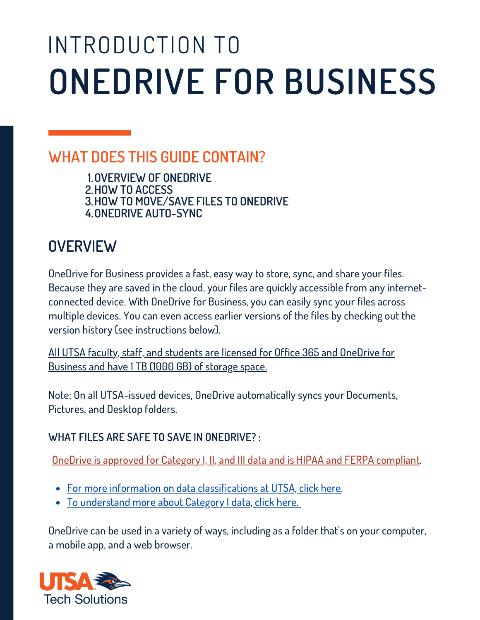# INTRODUCTION TO **ONEDRIVE FOR BUSINESS**

### **WHAT DOES THIS GUIDE CONTAIN?**

**1.OVERVIEW OF ONEDRIVE**

**2.HOW TO ACCESS**

**3.HOW TO MOVE/SAVE FILES TO ONEDRIVE**

**4.ONEDRIVE AUTO-SYNC**

### **OVERVIEW**

 OneDrive for Business provides a fast, easy way to store, sync, and share your files. Because they are saved in the cloud, your files are quickly accessible from any internet- connected device. With OneDrive for Business, you can easily sync your files across multiple devices. You can even access earlier versions of the files by checking out the version history (see instructions below).

 All UTSA faculty, staff, and students are licensed for Office 365 and OneDrive for Business and have 1 TB (1000 GB) of storage space.

 Note: On all UTSA-issued devices, OneDrive automatically syncs your Documents, Pictures, and Desktop folders.

#### **WHAT FILES ARE SAFE TO SAVE IN ONEDRIVE? :**

OneDrive is approved for Category I, II, and III data and is HIPAA and FERPA compliant.

- For more information on data [classifications](https://security.utsa.edu/security-standards/standard-for-data-classification/) at UTSA, click here.
- To [understand](https://security.utsa.edu/category-1-extended-guidelines/) more about Category I data, click here.

 OneDrive can be used in a variety of ways, including as a folder that's on your computer, a mobile app, and a web browser.

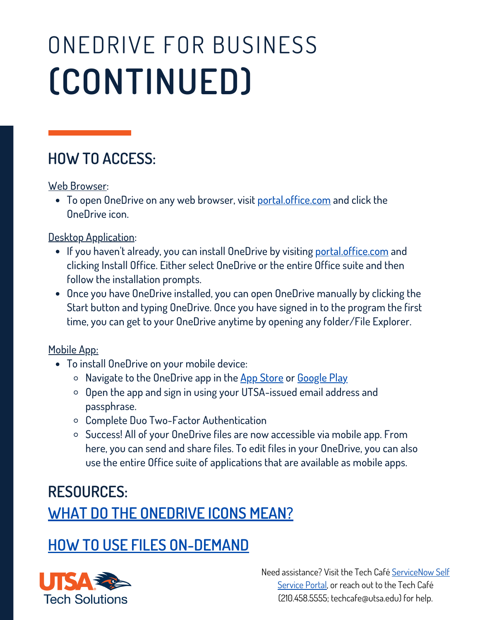## ONEDRIVE FOR BUSINESS **(CONTINUED)**

### **HOW TO ACCESS:**

<u>Web Browser</u>:

To open OneDrive on any web browser, visit <u>[portal.office.com](https://portal.office.com/)</u> and click the OneDrive icon.

Desktop Application:

- If you haven't already, you can install OneDrive by visiting <u>[p](https://portal.office.com)[ortal.office.com](https://portal.office.com/)</u> and follow the installation prompts. clicking Install Office. Either select OneDrive or the entire Office suite and then
- Once you have OneDrive installed, you can open OneDrive manually by clicking the Start button and typing OneDrive. Once you have signed in to the program the first time, you can get to your OneDrive anytime by opening any folder/File Explorer.

Mobile App:

- To install OneDrive on your mobile device:
	- $\circ$  Navigate to the OneDrive app in the [A](https://apps.apple.com/us/app/microsoft-onedrive/id477537958)pp [Store](https://apps.apple.com/us/app/microsoft-onedrive/id477537958) or [Google](https://play.google.com/store/apps/details?id=com.microsoft.skydrive&hl=en_US&gl=US) Play
	- $\circ$  Open the app and sign in using your UTSA-issued email address and passphrase.
	- Complete Duo Two-Factor Authentication
	- Success! All of your OneDrive files are now accessible via mobile app. From here, you can send and share files. To edit files in your OneDrive, you can also use the entire Office suite of applications that are available as mobile apps.

### **WHAT DO THE [ONEDRIVE](https://support.microsoft.com/en-us/office/what-do-the-onedrive-icons-mean-11143026-8000-44f8-aaa9-67c985aa49b3) ICONS MEAN? RESOURCES:**

#### **HOW TO USE FILES [ON-DEMAND](https://support.microsoft.com/en-us/office/sync-files-with-onedrive-files-on-demand-62e8d748-7877-420f-b600-24b56562aa70)**

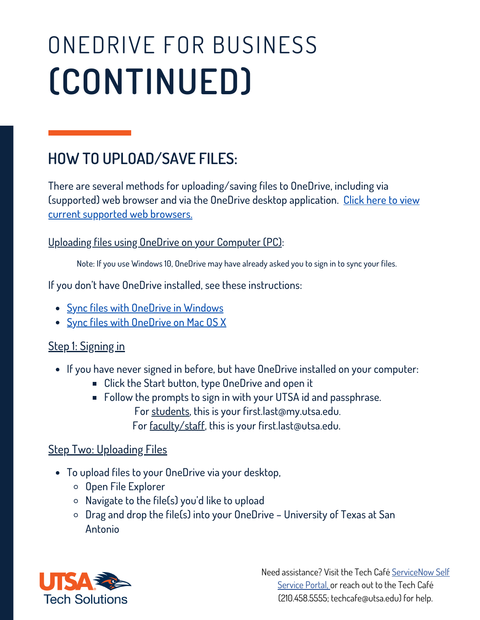# ONEDRIVE FOR BUSINESS **(CONTINUED)**

### **HOW TO UPLOAD/SAVE FILES:**

 There are several methods for uploading/saving files to OneDrive, including via current supported web browsers. [\(supported\)](https://support.microsoft.com/en-us/office/which-browsers-work-with-office-for-the-web-and-office-add-ins-ad1303e0-a318-47aa-b409-d3a5eb44e452) web browser and via the OneDrive desktop application. Click here to view

Uploading files using OneDrive on your Computer (PC):

Note: If you use Windows 10, OneDrive may have already asked you to sign in to sync your files.

If you don't have OneDrive installed, see these instructions:

- Sync files with [OneDrive](https://support.microsoft.com/en-us/office/sync-files-with-onedrive-in-windows-615391c4-2bd3-4aae-a42a-858262e42a49) in Windows
- Sync files with [OneDrive](https://support.microsoft.com/en-us/office/sync-files-with-onedrive-on-mac-os-x-d11b9f29-00bb-4172-be39-997da46f913f) on Mac OS X

#### $\overline{a}$ Step 1: Signing in

- If you have never signed in before, but have OneDrive installed on your computer:
	- Click the Start button, type OneDrive and open it
	- For faculty/staff, this is your [first.last@utsa.edu](mailto:first.last@utsa.edu).  $\blacksquare$  Follow the prompts to sign in with your UTSA id and passphrase. For students, this is your [first.last@my.utsa.edu](mailto:first.last@my.utsa.edu).

#### l **Step Two: Uploading Files**

- To upload files to your OneDrive via your desktop,
	- o Open File Explorer
	- Navigate to the file(s) you'd like to upload
	- Drag and drop the file(s) into your OneDrive University of Texas at San Antonio